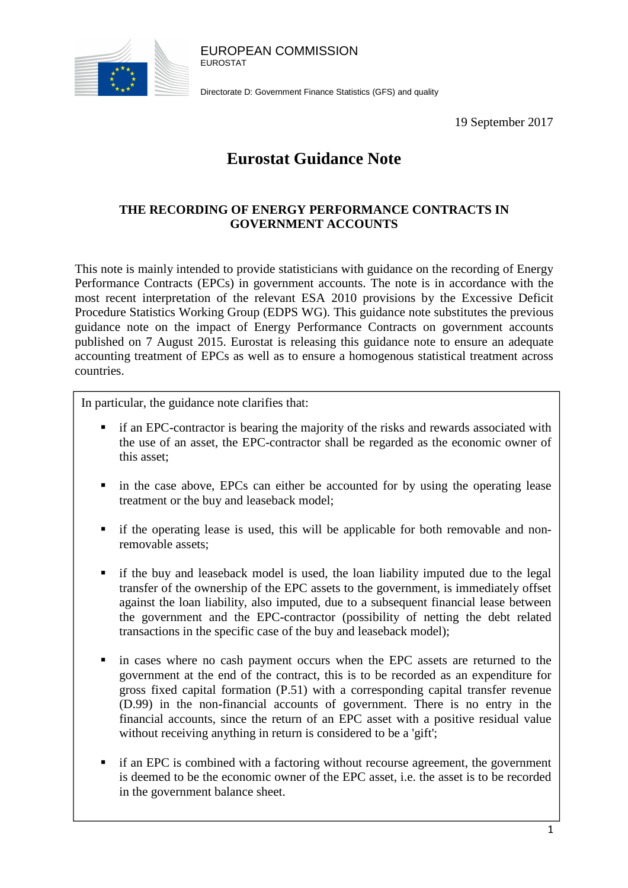

EUROPEAN COMMISSION EUROSTAT

Directorate D: Government Finance Statistics (GFS) and quality

19 September 2017

# **Eurostat Guidance Note**

# **THE RECORDING OF ENERGY PERFORMANCE CONTRACTS IN GOVERNMENT ACCOUNTS**

This note is mainly intended to provide statisticians with guidance on the recording of Energy Performance Contracts (EPCs) in government accounts. The note is in accordance with the most recent interpretation of the relevant ESA 2010 provisions by the Excessive Deficit Procedure Statistics Working Group (EDPS WG). This guidance note substitutes the previous guidance note on the impact of Energy Performance Contracts on government accounts published on 7 August 2015. Eurostat is releasing this guidance note to ensure an adequate accounting treatment of EPCs as well as to ensure a homogenous statistical treatment across countries.

In particular, the guidance note clarifies that:

- if an EPC-contractor is bearing the majority of the risks and rewards associated with the use of an asset, the EPC-contractor shall be regarded as the economic owner of this asset;
- in the case above, EPCs can either be accounted for by using the operating lease treatment or the buy and leaseback model;
- if the operating lease is used, this will be applicable for both removable and nonremovable assets;
- if the buy and leaseback model is used, the loan liability imputed due to the legal transfer of the ownership of the EPC assets to the government, is immediately offset against the loan liability, also imputed, due to a subsequent financial lease between the government and the EPC-contractor (possibility of netting the debt related transactions in the specific case of the buy and leaseback model);
- in cases where no cash payment occurs when the EPC assets are returned to the government at the end of the contract, this is to be recorded as an expenditure for gross fixed capital formation (P.51) with a corresponding capital transfer revenue (D.99) in the non-financial accounts of government. There is no entry in the financial accounts, since the return of an EPC asset with a positive residual value without receiving anything in return is considered to be a 'gift';
- if an EPC is combined with a factoring without recourse agreement, the government is deemed to be the economic owner of the EPC asset, i.e. the asset is to be recorded in the government balance sheet.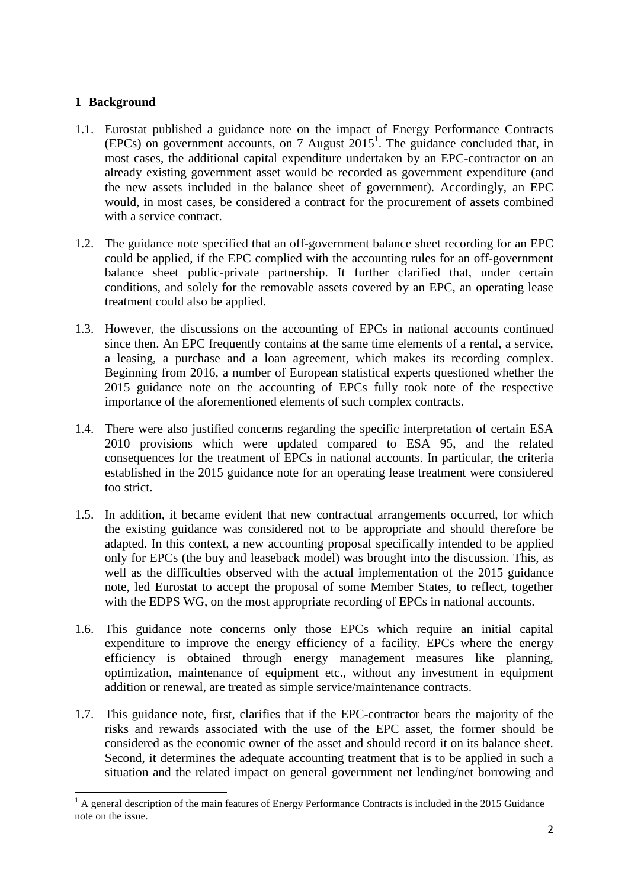# **1 Background**

 $\overline{a}$ 

- 1.1. Eurostat published a guidance note on the impact of Energy Performance Contracts  $(EPCs)$  on government accounts, on 7 August  $2015<sup>1</sup>$ . The guidance concluded that, in most cases, the additional capital expenditure undertaken by an EPC-contractor on an already existing government asset would be recorded as government expenditure (and the new assets included in the balance sheet of government). Accordingly, an EPC would, in most cases, be considered a contract for the procurement of assets combined with a service contract.
- 1.2. The guidance note specified that an off-government balance sheet recording for an EPC could be applied, if the EPC complied with the accounting rules for an off-government balance sheet public-private partnership. It further clarified that, under certain conditions, and solely for the removable assets covered by an EPC, an operating lease treatment could also be applied.
- 1.3. However, the discussions on the accounting of EPCs in national accounts continued since then. An EPC frequently contains at the same time elements of a rental, a service, a leasing, a purchase and a loan agreement, which makes its recording complex. Beginning from 2016, a number of European statistical experts questioned whether the 2015 guidance note on the accounting of EPCs fully took note of the respective importance of the aforementioned elements of such complex contracts.
- 1.4. There were also justified concerns regarding the specific interpretation of certain ESA 2010 provisions which were updated compared to ESA 95, and the related consequences for the treatment of EPCs in national accounts. In particular, the criteria established in the 2015 guidance note for an operating lease treatment were considered too strict.
- 1.5. In addition, it became evident that new contractual arrangements occurred, for which the existing guidance was considered not to be appropriate and should therefore be adapted. In this context, a new accounting proposal specifically intended to be applied only for EPCs (the buy and leaseback model) was brought into the discussion. This, as well as the difficulties observed with the actual implementation of the 2015 guidance note, led Eurostat to accept the proposal of some Member States, to reflect, together with the EDPS WG, on the most appropriate recording of EPCs in national accounts.
- 1.6. This guidance note concerns only those EPCs which require an initial capital expenditure to improve the energy efficiency of a facility. EPCs where the energy efficiency is obtained through energy management measures like planning, optimization, maintenance of equipment etc., without any investment in equipment addition or renewal, are treated as simple service/maintenance contracts.
- 1.7. This guidance note, first, clarifies that if the EPC-contractor bears the majority of the risks and rewards associated with the use of the EPC asset, the former should be considered as the economic owner of the asset and should record it on its balance sheet. Second, it determines the adequate accounting treatment that is to be applied in such a situation and the related impact on general government net lending/net borrowing and

 $<sup>1</sup>$  A general description of the main features of Energy Performance Contracts is included in the 2015 Guidance</sup> note on the issue.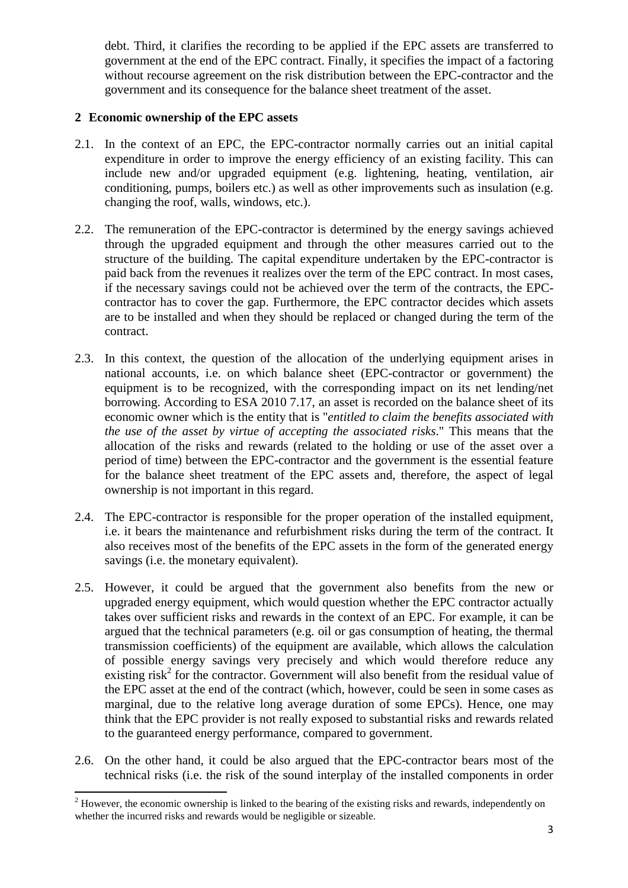debt. Third, it clarifies the recording to be applied if the EPC assets are transferred to government at the end of the EPC contract. Finally, it specifies the impact of a factoring without recourse agreement on the risk distribution between the EPC-contractor and the government and its consequence for the balance sheet treatment of the asset.

# **2 Economic ownership of the EPC assets**

- 2.1. In the context of an EPC, the EPC-contractor normally carries out an initial capital expenditure in order to improve the energy efficiency of an existing facility. This can include new and/or upgraded equipment (e.g. lightening, heating, ventilation, air conditioning, pumps, boilers etc.) as well as other improvements such as insulation (e.g. changing the roof, walls, windows, etc.).
- 2.2. The remuneration of the EPC-contractor is determined by the energy savings achieved through the upgraded equipment and through the other measures carried out to the structure of the building. The capital expenditure undertaken by the EPC-contractor is paid back from the revenues it realizes over the term of the EPC contract. In most cases, if the necessary savings could not be achieved over the term of the contracts, the EPCcontractor has to cover the gap. Furthermore, the EPC contractor decides which assets are to be installed and when they should be replaced or changed during the term of the contract.
- 2.3. In this context, the question of the allocation of the underlying equipment arises in national accounts, i.e. on which balance sheet (EPC-contractor or government) the equipment is to be recognized, with the corresponding impact on its net lending/net borrowing. According to ESA 2010 7.17, an asset is recorded on the balance sheet of its economic owner which is the entity that is "*entitled to claim the benefits associated with the use of the asset by virtue of accepting the associated risks*." This means that the allocation of the risks and rewards (related to the holding or use of the asset over a period of time) between the EPC-contractor and the government is the essential feature for the balance sheet treatment of the EPC assets and, therefore, the aspect of legal ownership is not important in this regard.
- 2.4. The EPC-contractor is responsible for the proper operation of the installed equipment, i.e. it bears the maintenance and refurbishment risks during the term of the contract. It also receives most of the benefits of the EPC assets in the form of the generated energy savings (i.e. the monetary equivalent).
- 2.5. However, it could be argued that the government also benefits from the new or upgraded energy equipment, which would question whether the EPC contractor actually takes over sufficient risks and rewards in the context of an EPC. For example, it can be argued that the technical parameters (e.g. oil or gas consumption of heating, the thermal transmission coefficients) of the equipment are available, which allows the calculation of possible energy savings very precisely and which would therefore reduce any existing  $risk^2$  for the contractor. Government will also benefit from the residual value of the EPC asset at the end of the contract (which, however, could be seen in some cases as marginal, due to the relative long average duration of some EPCs). Hence, one may think that the EPC provider is not really exposed to substantial risks and rewards related to the guaranteed energy performance, compared to government.
- 2.6. On the other hand, it could be also argued that the EPC-contractor bears most of the technical risks (i.e. the risk of the sound interplay of the installed components in order

 $\overline{a}$ 

 $2<sup>2</sup>$  However, the economic ownership is linked to the bearing of the existing risks and rewards, independently on whether the incurred risks and rewards would be negligible or sizeable.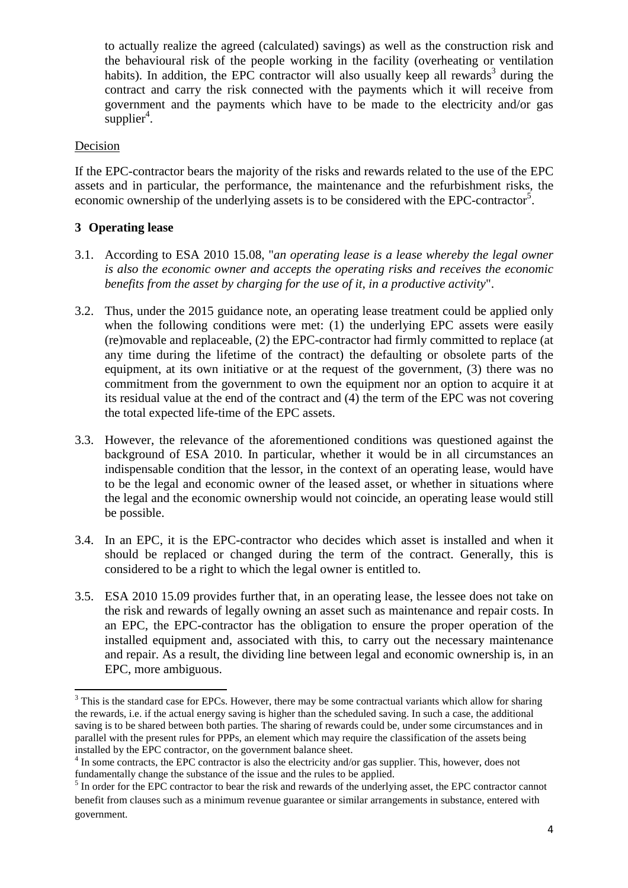to actually realize the agreed (calculated) savings) as well as the construction risk and the behavioural risk of the people working in the facility (overheating or ventilation habits). In addition, the EPC contractor will also usually keep all rewards<sup>3</sup> during the contract and carry the risk connected with the payments which it will receive from government and the payments which have to be made to the electricity and/or gas  $supplier<sup>4</sup>$ .

#### Decision

If the EPC-contractor bears the majority of the risks and rewards related to the use of the EPC assets and in particular, the performance, the maintenance and the refurbishment risks, the economic ownership of the underlying assets is to be considered with the EPC-contractor<sup>5</sup>.

# **3 Operating lease**

- 3.1. According to ESA 2010 15.08, "*an operating lease is a lease whereby the legal owner is also the economic owner and accepts the operating risks and receives the economic benefits from the asset by charging for the use of it, in a productive activity*".
- 3.2. Thus, under the 2015 guidance note, an operating lease treatment could be applied only when the following conditions were met: (1) the underlying EPC assets were easily (re)movable and replaceable, (2) the EPC-contractor had firmly committed to replace (at any time during the lifetime of the contract) the defaulting or obsolete parts of the equipment, at its own initiative or at the request of the government, (3) there was no commitment from the government to own the equipment nor an option to acquire it at its residual value at the end of the contract and (4) the term of the EPC was not covering the total expected life-time of the EPC assets.
- 3.3. However, the relevance of the aforementioned conditions was questioned against the background of ESA 2010. In particular, whether it would be in all circumstances an indispensable condition that the lessor, in the context of an operating lease, would have to be the legal and economic owner of the leased asset, or whether in situations where the legal and the economic ownership would not coincide, an operating lease would still be possible.
- 3.4. In an EPC, it is the EPC-contractor who decides which asset is installed and when it should be replaced or changed during the term of the contract. Generally, this is considered to be a right to which the legal owner is entitled to.
- 3.5. ESA 2010 15.09 provides further that, in an operating lease, the lessee does not take on the risk and rewards of legally owning an asset such as maintenance and repair costs. In an EPC, the EPC-contractor has the obligation to ensure the proper operation of the installed equipment and, associated with this, to carry out the necessary maintenance and repair. As a result, the dividing line between legal and economic ownership is, in an EPC, more ambiguous.

 $\overline{a}$  $3$  This is the standard case for EPCs. However, there may be some contractual variants which allow for sharing the rewards, i.e. if the actual energy saving is higher than the scheduled saving. In such a case, the additional saving is to be shared between both parties. The sharing of rewards could be, under some circumstances and in parallel with the present rules for PPPs, an element which may require the classification of the assets being installed by the EPC contractor, on the government balance sheet.

<sup>&</sup>lt;sup>4</sup> In some contracts, the EPC contractor is also the electricity and/or gas supplier. This, however, does not fundamentally change the substance of the issue and the rules to be applied.

<sup>&</sup>lt;sup>5</sup> In order for the EPC contractor to bear the risk and rewards of the underlying asset, the EPC contractor cannot benefit from clauses such as a minimum revenue guarantee or similar arrangements in substance, entered with government.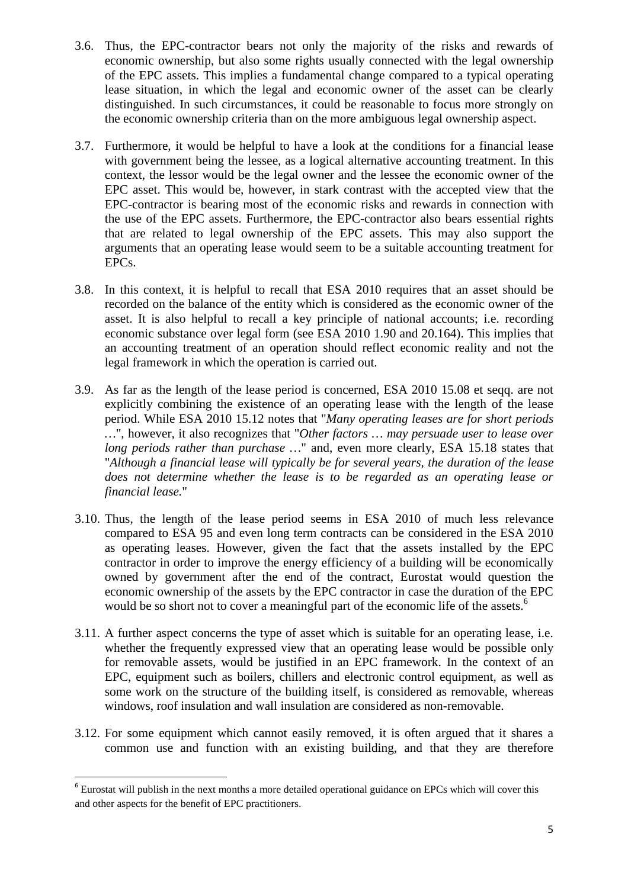- 3.6. Thus, the EPC-contractor bears not only the majority of the risks and rewards of economic ownership, but also some rights usually connected with the legal ownership of the EPC assets. This implies a fundamental change compared to a typical operating lease situation, in which the legal and economic owner of the asset can be clearly distinguished. In such circumstances, it could be reasonable to focus more strongly on the economic ownership criteria than on the more ambiguous legal ownership aspect.
- 3.7. Furthermore, it would be helpful to have a look at the conditions for a financial lease with government being the lessee, as a logical alternative accounting treatment. In this context, the lessor would be the legal owner and the lessee the economic owner of the EPC asset. This would be, however, in stark contrast with the accepted view that the EPC-contractor is bearing most of the economic risks and rewards in connection with the use of the EPC assets. Furthermore, the EPC-contractor also bears essential rights that are related to legal ownership of the EPC assets. This may also support the arguments that an operating lease would seem to be a suitable accounting treatment for EPCs.
- 3.8. In this context, it is helpful to recall that ESA 2010 requires that an asset should be recorded on the balance of the entity which is considered as the economic owner of the asset. It is also helpful to recall a key principle of national accounts; i.e. recording economic substance over legal form (see ESA 2010 1.90 and 20.164). This implies that an accounting treatment of an operation should reflect economic reality and not the legal framework in which the operation is carried out.
- 3.9. As far as the length of the lease period is concerned, ESA 2010 15.08 et seqq. are not explicitly combining the existence of an operating lease with the length of the lease period. While ESA 2010 15.12 notes that "*Many operating leases are for short periods …*", however, it also recognizes that "*Other factors … may persuade user to lease over long periods rather than purchase …*" and, even more clearly, ESA 15.18 states that "*Although a financial lease will typically be for several years, the duration of the lease does not determine whether the lease is to be regarded as an operating lease or financial lease.*"
- 3.10. Thus, the length of the lease period seems in ESA 2010 of much less relevance compared to ESA 95 and even long term contracts can be considered in the ESA 2010 as operating leases. However, given the fact that the assets installed by the EPC contractor in order to improve the energy efficiency of a building will be economically owned by government after the end of the contract, Eurostat would question the economic ownership of the assets by the EPC contractor in case the duration of the EPC would be so short not to cover a meaningful part of the economic life of the assets.<sup>6</sup>
- 3.11. A further aspect concerns the type of asset which is suitable for an operating lease, i.e. whether the frequently expressed view that an operating lease would be possible only for removable assets, would be justified in an EPC framework. In the context of an EPC, equipment such as boilers, chillers and electronic control equipment, as well as some work on the structure of the building itself, is considered as removable, whereas windows, roof insulation and wall insulation are considered as non-removable.
- 3.12. For some equipment which cannot easily removed, it is often argued that it shares a common use and function with an existing building, and that they are therefore

l

<sup>&</sup>lt;sup>6</sup> Eurostat will publish in the next months a more detailed operational guidance on EPCs which will cover this and other aspects for the benefit of EPC practitioners.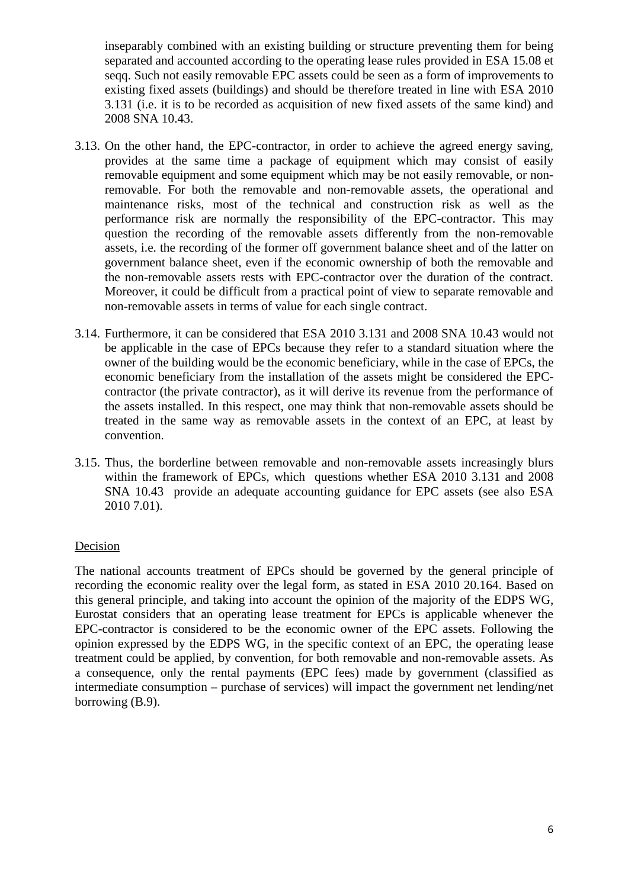inseparably combined with an existing building or structure preventing them for being separated and accounted according to the operating lease rules provided in ESA 15.08 et seqq. Such not easily removable EPC assets could be seen as a form of improvements to existing fixed assets (buildings) and should be therefore treated in line with ESA 2010 3.131 (i.e. it is to be recorded as acquisition of new fixed assets of the same kind) and 2008 SNA 10.43.

- 3.13. On the other hand, the EPC-contractor, in order to achieve the agreed energy saving, provides at the same time a package of equipment which may consist of easily removable equipment and some equipment which may be not easily removable, or nonremovable. For both the removable and non-removable assets, the operational and maintenance risks, most of the technical and construction risk as well as the performance risk are normally the responsibility of the EPC-contractor. This may question the recording of the removable assets differently from the non-removable assets, i.e. the recording of the former off government balance sheet and of the latter on government balance sheet, even if the economic ownership of both the removable and the non-removable assets rests with EPC-contractor over the duration of the contract. Moreover, it could be difficult from a practical point of view to separate removable and non-removable assets in terms of value for each single contract.
- 3.14. Furthermore, it can be considered that ESA 2010 3.131 and 2008 SNA 10.43 would not be applicable in the case of EPCs because they refer to a standard situation where the owner of the building would be the economic beneficiary, while in the case of EPCs, the economic beneficiary from the installation of the assets might be considered the EPCcontractor (the private contractor), as it will derive its revenue from the performance of the assets installed. In this respect, one may think that non-removable assets should be treated in the same way as removable assets in the context of an EPC, at least by convention.
- 3.15. Thus, the borderline between removable and non-removable assets increasingly blurs within the framework of EPCs, which questions whether ESA 2010 3.131 and 2008 SNA 10.43 provide an adequate accounting guidance for EPC assets (see also ESA 2010 7.01).

#### Decision

The national accounts treatment of EPCs should be governed by the general principle of recording the economic reality over the legal form, as stated in ESA 2010 20.164. Based on this general principle, and taking into account the opinion of the majority of the EDPS WG, Eurostat considers that an operating lease treatment for EPCs is applicable whenever the EPC-contractor is considered to be the economic owner of the EPC assets. Following the opinion expressed by the EDPS WG, in the specific context of an EPC, the operating lease treatment could be applied, by convention, for both removable and non-removable assets. As a consequence, only the rental payments (EPC fees) made by government (classified as intermediate consumption – purchase of services) will impact the government net lending/net borrowing (B.9).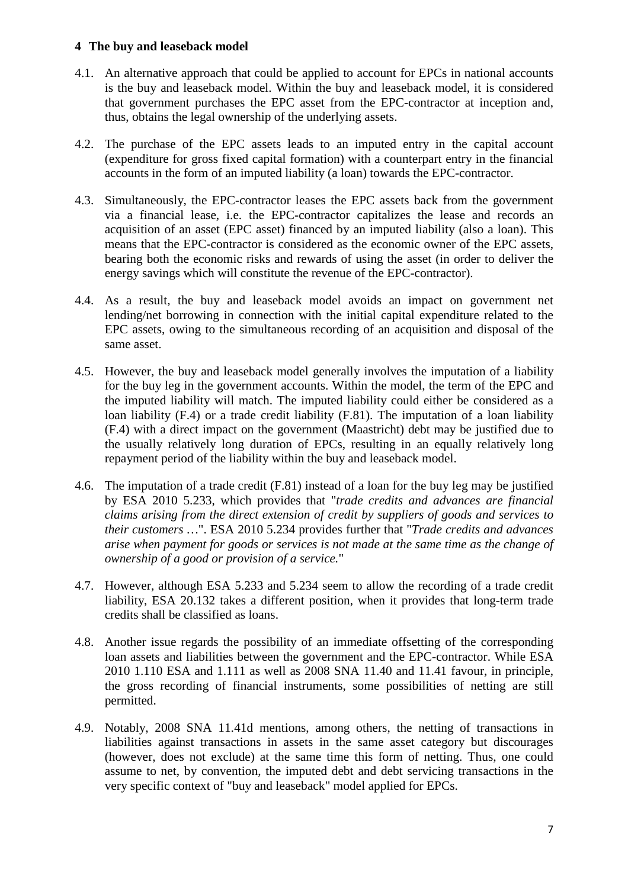#### **4 The buy and leaseback model**

- 4.1. An alternative approach that could be applied to account for EPCs in national accounts is the buy and leaseback model. Within the buy and leaseback model, it is considered that government purchases the EPC asset from the EPC-contractor at inception and, thus, obtains the legal ownership of the underlying assets.
- 4.2. The purchase of the EPC assets leads to an imputed entry in the capital account (expenditure for gross fixed capital formation) with a counterpart entry in the financial accounts in the form of an imputed liability (a loan) towards the EPC-contractor.
- 4.3. Simultaneously, the EPC-contractor leases the EPC assets back from the government via a financial lease, i.e. the EPC-contractor capitalizes the lease and records an acquisition of an asset (EPC asset) financed by an imputed liability (also a loan). This means that the EPC-contractor is considered as the economic owner of the EPC assets, bearing both the economic risks and rewards of using the asset (in order to deliver the energy savings which will constitute the revenue of the EPC-contractor).
- 4.4. As a result, the buy and leaseback model avoids an impact on government net lending/net borrowing in connection with the initial capital expenditure related to the EPC assets, owing to the simultaneous recording of an acquisition and disposal of the same asset.
- 4.5. However, the buy and leaseback model generally involves the imputation of a liability for the buy leg in the government accounts. Within the model, the term of the EPC and the imputed liability will match. The imputed liability could either be considered as a loan liability (F.4) or a trade credit liability (F.81). The imputation of a loan liability (F.4) with a direct impact on the government (Maastricht) debt may be justified due to the usually relatively long duration of EPCs, resulting in an equally relatively long repayment period of the liability within the buy and leaseback model.
- 4.6. The imputation of a trade credit (F.81) instead of a loan for the buy leg may be justified by ESA 2010 5.233, which provides that "*trade credits and advances are financial claims arising from the direct extension of credit by suppliers of goods and services to their customers …*". ESA 2010 5.234 provides further that "*Trade credits and advances arise when payment for goods or services is not made at the same time as the change of ownership of a good or provision of a service.*"
- 4.7. However, although ESA 5.233 and 5.234 seem to allow the recording of a trade credit liability, ESA 20.132 takes a different position, when it provides that long-term trade credits shall be classified as loans.
- 4.8. Another issue regards the possibility of an immediate offsetting of the corresponding loan assets and liabilities between the government and the EPC-contractor. While ESA 2010 1.110 ESA and 1.111 as well as 2008 SNA 11.40 and 11.41 favour, in principle, the gross recording of financial instruments, some possibilities of netting are still permitted.
- 4.9. Notably, 2008 SNA 11.41d mentions, among others, the netting of transactions in liabilities against transactions in assets in the same asset category but discourages (however, does not exclude) at the same time this form of netting. Thus, one could assume to net, by convention, the imputed debt and debt servicing transactions in the very specific context of "buy and leaseback" model applied for EPCs.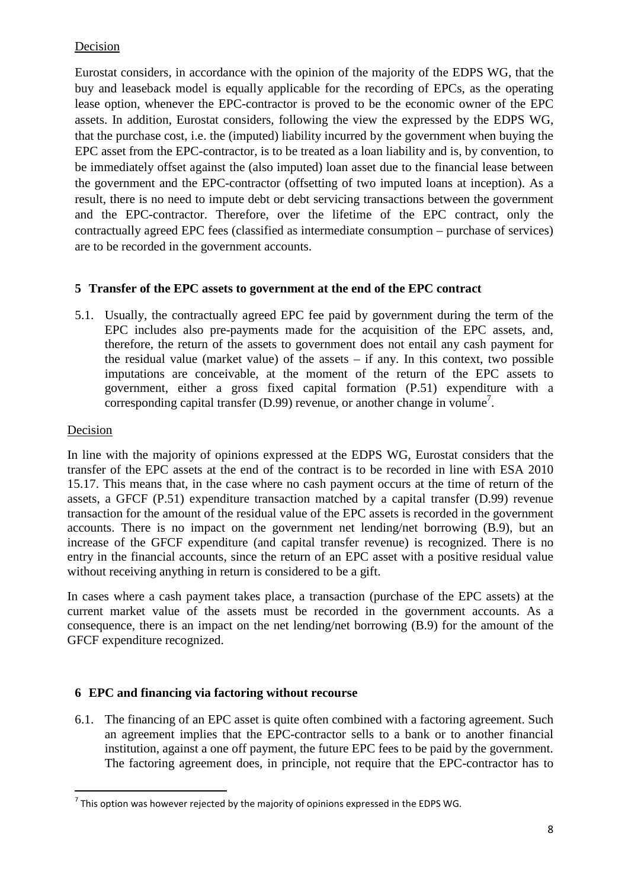# Decision

Eurostat considers, in accordance with the opinion of the majority of the EDPS WG, that the buy and leaseback model is equally applicable for the recording of EPCs, as the operating lease option, whenever the EPC-contractor is proved to be the economic owner of the EPC assets. In addition, Eurostat considers, following the view the expressed by the EDPS WG, that the purchase cost, i.e. the (imputed) liability incurred by the government when buying the EPC asset from the EPC-contractor, is to be treated as a loan liability and is, by convention, to be immediately offset against the (also imputed) loan asset due to the financial lease between the government and the EPC-contractor (offsetting of two imputed loans at inception). As a result, there is no need to impute debt or debt servicing transactions between the government and the EPC-contractor. Therefore, over the lifetime of the EPC contract, only the contractually agreed EPC fees (classified as intermediate consumption – purchase of services) are to be recorded in the government accounts.

#### **5 Transfer of the EPC assets to government at the end of the EPC contract**

5.1. Usually, the contractually agreed EPC fee paid by government during the term of the EPC includes also pre-payments made for the acquisition of the EPC assets, and, therefore, the return of the assets to government does not entail any cash payment for the residual value (market value) of the assets – if any. In this context, two possible imputations are conceivable, at the moment of the return of the EPC assets to government, either a gross fixed capital formation (P.51) expenditure with a corresponding capital transfer  $(D.99)$  revenue, or another change in volume<sup>7</sup>.

# Decision

l

In line with the majority of opinions expressed at the EDPS WG, Eurostat considers that the transfer of the EPC assets at the end of the contract is to be recorded in line with ESA 2010 15.17. This means that, in the case where no cash payment occurs at the time of return of the assets, a GFCF (P.51) expenditure transaction matched by a capital transfer (D.99) revenue transaction for the amount of the residual value of the EPC assets is recorded in the government accounts. There is no impact on the government net lending/net borrowing (B.9), but an increase of the GFCF expenditure (and capital transfer revenue) is recognized. There is no entry in the financial accounts, since the return of an EPC asset with a positive residual value without receiving anything in return is considered to be a gift.

In cases where a cash payment takes place, a transaction (purchase of the EPC assets) at the current market value of the assets must be recorded in the government accounts. As a consequence, there is an impact on the net lending/net borrowing (B.9) for the amount of the GFCF expenditure recognized.

#### **6 EPC and financing via factoring without recourse**

6.1. The financing of an EPC asset is quite often combined with a factoring agreement. Such an agreement implies that the EPC-contractor sells to a bank or to another financial institution, against a one off payment, the future EPC fees to be paid by the government. The factoring agreement does, in principle, not require that the EPC-contractor has to

 $^7$  This option was however rejected by the majority of opinions expressed in the EDPS WG.